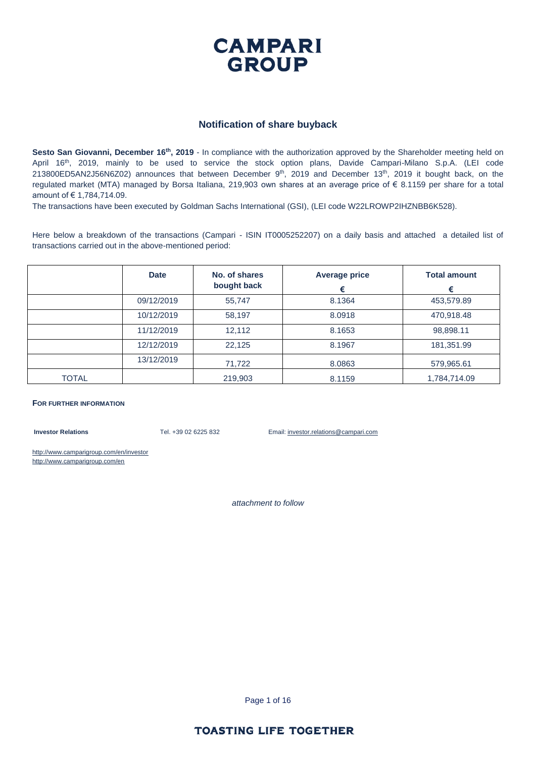

#### **Notification of share buyback**

**Sesto San Giovanni, December 16th, 2019** - In compliance with the authorization approved by the Shareholder meeting held on April 16<sup>th</sup>, 2019, mainly to be used to service the stock option plans, Davide Campari-Milano S.p.A. (LEI code 213800ED5AN2J56N6Z02) announces that between December 9<sup>th</sup>, 2019 and December 13<sup>th</sup>, 2019 it bought back, on the regulated market (MTA) managed by Borsa Italiana, 219,903 own shares at an average price of € 8.1159 per share for a total amount of € 1,784,714.09.

The transactions have been executed by Goldman Sachs International (GSI), (LEI code W22LROWP2IHZNBB6K528).

Here below a breakdown of the transactions (Campari - ISIN IT0005252207) on a daily basis and attached a detailed list of transactions carried out in the above-mentioned period:

|              | <b>Date</b> | No. of shares<br>bought back | <b>Average price</b><br>€ | <b>Total amount</b><br>€ |
|--------------|-------------|------------------------------|---------------------------|--------------------------|
|              | 09/12/2019  | 55,747                       | 8.1364                    | 453,579.89               |
|              | 10/12/2019  | 58,197                       | 8.0918                    | 470,918.48               |
|              | 11/12/2019  | 12,112                       | 8.1653                    | 98,898.11                |
|              | 12/12/2019  | 22,125                       | 8.1967                    | 181,351.99               |
|              | 13/12/2019  | 71,722                       | 8.0863                    | 579,965.61               |
| <b>TOTAL</b> |             | 219,903                      | 8.1159                    | 1,784,714.09             |

#### **FOR FURTHER INFORMATION**

**Investor Relations** Tel. +39 02 6225 832 Email: investor.relations@campari.com

http://www.camparigroup.com/en/investor http://www.camparigroup.com/en

*attachment to follow*

Page 1 of 16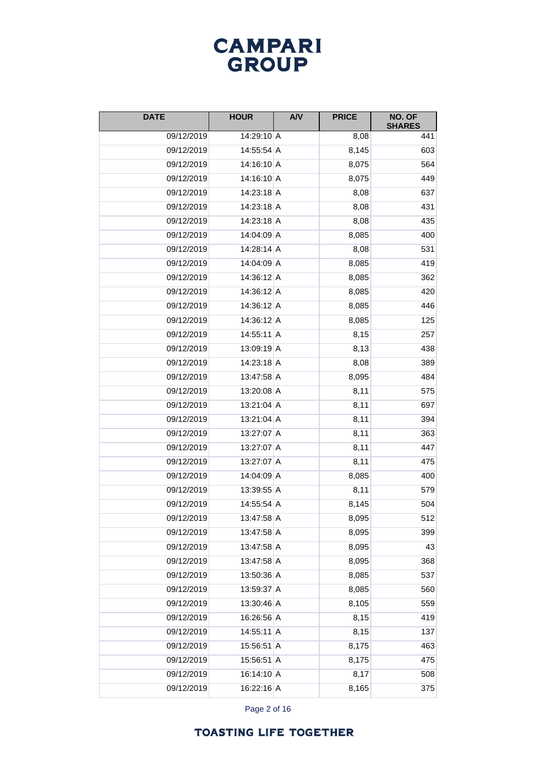### **CAMPARI** GROUP

| <b>DATE</b> | <b>HOUR</b>  | <b>A/V</b> | <b>PRICE</b> | NO. OF<br><b>SHARES</b> |
|-------------|--------------|------------|--------------|-------------------------|
| 09/12/2019  | 14:29:10 A   |            | 8,08         | 441                     |
| 09/12/2019  | 14:55:54 A   |            | 8,145        | 603                     |
| 09/12/2019  | 14:16:10 A   |            | 8,075        | 564                     |
| 09/12/2019  | $14:16:10$ A |            | 8,075        | 449                     |
| 09/12/2019  | 14:23:18 A   |            | 8,08         | 637                     |
| 09/12/2019  | 14:23:18 A   |            | 8,08         | 431                     |
| 09/12/2019  | 14:23:18 A   |            | 8,08         | 435                     |
| 09/12/2019  | 14:04:09 A   |            | 8,085        | 400                     |
| 09/12/2019  | 14:28:14 A   |            | 8,08         | 531                     |
| 09/12/2019  | 14:04:09 A   |            | 8,085        | 419                     |
| 09/12/2019  | 14:36:12 A   |            | 8,085        | 362                     |
| 09/12/2019  | 14:36:12 A   |            | 8,085        | 420                     |
| 09/12/2019  | 14:36:12 A   |            | 8,085        | 446                     |
| 09/12/2019  | 14:36:12 A   |            | 8,085        | 125                     |
| 09/12/2019  | $14:55:11$ A |            | 8,15         | 257                     |
| 09/12/2019  | $13:09:19$ A |            | 8,13         | 438                     |
| 09/12/2019  | 14:23:18 A   |            | 8,08         | 389                     |
| 09/12/2019  | 13:47:58 A   |            | 8,095        | 484                     |
| 09/12/2019  | 13:20:08 A   |            | 8,11         | 575                     |
| 09/12/2019  | $13:21:04$ A |            | 8,11         | 697                     |
| 09/12/2019  | 13:21:04 A   |            | 8,11         | 394                     |
| 09/12/2019  | 13:27:07 A   |            | 8,11         | 363                     |
| 09/12/2019  | 13:27:07 A   |            | 8,11         | 447                     |
| 09/12/2019  | 13:27:07 A   |            | 8,11         | 475                     |
| 09/12/2019  | 14:04:09 A   |            | 8,085        | 400                     |
| 09/12/2019  | 13:39:55 A   |            | 8,11         | 579                     |
| 09/12/2019  | 14:55:54 A   |            | 8,145        | 504                     |
| 09/12/2019  | 13:47:58 A   |            | 8,095        | 512                     |
| 09/12/2019  | 13:47:58 A   |            | 8,095        | 399                     |
| 09/12/2019  | 13:47:58 A   |            | 8,095        | 43                      |
| 09/12/2019  | 13:47:58 A   |            | 8,095        | 368                     |
| 09/12/2019  | 13:50:36 A   |            | 8,085        | 537                     |
| 09/12/2019  | 13:59:37 A   |            | 8,085        | 560                     |
| 09/12/2019  | 13:30:46 A   |            | 8,105        | 559                     |
| 09/12/2019  | 16:26:56 A   |            | 8,15         | 419                     |
| 09/12/2019  | 14:55:11 A   |            | 8,15         | 137                     |
| 09/12/2019  | 15:56:51 A   |            | 8,175        | 463                     |
| 09/12/2019  | 15:56:51 A   |            | 8,175        | 475                     |
| 09/12/2019  | 16:14:10 A   |            | 8,17         | 508                     |
| 09/12/2019  | 16:22:16 A   |            | 8,165        | 375                     |

Page 2 of 16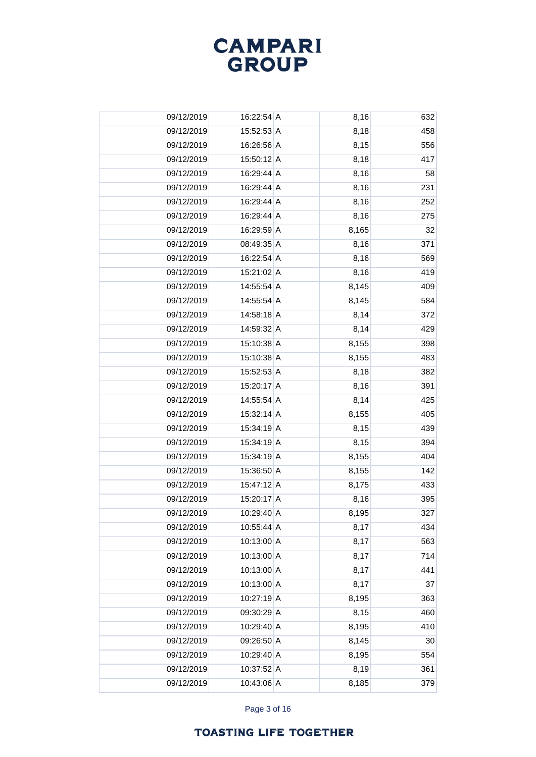

| 09/12/2019 | $16:22:54$ A | 8,16  | 632 |
|------------|--------------|-------|-----|
| 09/12/2019 | 15:52:53 A   | 8,18  | 458 |
| 09/12/2019 | 16:26:56 A   | 8,15  | 556 |
| 09/12/2019 | 15:50:12 A   | 8,18  | 417 |
| 09/12/2019 | 16:29:44 A   | 8,16  | 58  |
| 09/12/2019 | 16:29:44 A   | 8,16  | 231 |
| 09/12/2019 | 16:29:44 A   | 8,16  | 252 |
| 09/12/2019 | 16:29:44 A   | 8,16  | 275 |
| 09/12/2019 | 16:29:59 A   | 8,165 | 32  |
| 09/12/2019 | 08:49:35 A   | 8,16  | 371 |
| 09/12/2019 | 16:22:54 A   | 8,16  | 569 |
| 09/12/2019 | 15:21:02 A   | 8,16  | 419 |
| 09/12/2019 | 14:55:54 A   | 8,145 | 409 |
| 09/12/2019 | 14:55:54 A   | 8,145 | 584 |
| 09/12/2019 | 14:58:18 A   | 8,14  | 372 |
| 09/12/2019 | 14:59:32 A   | 8,14  | 429 |
| 09/12/2019 | 15:10:38 A   | 8,155 | 398 |
| 09/12/2019 | 15:10:38 A   | 8,155 | 483 |
| 09/12/2019 | 15:52:53 A   | 8,18  | 382 |
| 09/12/2019 | 15:20:17 A   | 8,16  | 391 |
| 09/12/2019 | 14:55:54 A   | 8,14  | 425 |
| 09/12/2019 | 15:32:14 A   | 8,155 | 405 |
| 09/12/2019 | 15:34:19 A   | 8,15  | 439 |
| 09/12/2019 | 15:34:19 A   | 8,15  | 394 |
| 09/12/2019 | 15:34:19 A   | 8,155 | 404 |
| 09/12/2019 | 15:36:50 A   | 8,155 | 142 |
| 09/12/2019 | 15:47:12 A   | 8,175 | 433 |
| 09/12/2019 | 15:20:17 A   | 8,16  | 395 |
| 09/12/2019 | 10:29:40 A   | 8,195 | 327 |
| 09/12/2019 | 10:55:44 A   | 8,17  | 434 |
| 09/12/2019 | 10:13:00 A   | 8,17  | 563 |
| 09/12/2019 | 10:13:00 A   | 8,17  | 714 |
| 09/12/2019 | 10:13:00 A   | 8,17  | 441 |
| 09/12/2019 | 10:13:00 A   | 8,17  | 37  |
| 09/12/2019 | 10:27:19 A   | 8,195 | 363 |
| 09/12/2019 | 09:30:29 A   | 8,15  | 460 |
| 09/12/2019 | 10:29:40 A   | 8,195 | 410 |
| 09/12/2019 | 09:26:50 A   | 8,145 | 30  |
| 09/12/2019 | 10:29:40 A   | 8,195 | 554 |
| 09/12/2019 | 10:37:52 A   | 8,19  | 361 |
| 09/12/2019 | $10:43:06$ A | 8,185 | 379 |

Page 3 of 16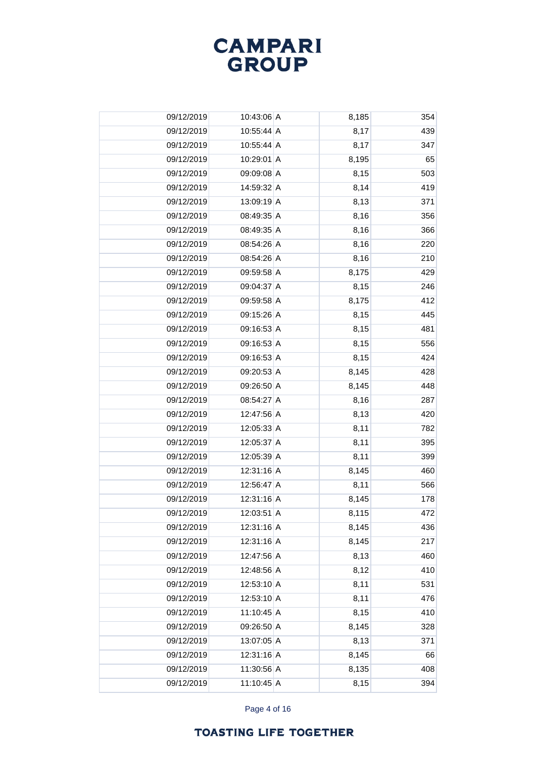

| 09/12/2019 | 10:43:06 A   | 8,185 | 354 |
|------------|--------------|-------|-----|
| 09/12/2019 | $10:55:44$ A | 8,17  | 439 |
| 09/12/2019 | 10:55:44 A   | 8,17  | 347 |
| 09/12/2019 | 10:29:01 A   | 8,195 | 65  |
| 09/12/2019 | 09:09:08 A   | 8,15  | 503 |
| 09/12/2019 | 14:59:32 A   | 8,14  | 419 |
| 09/12/2019 | 13:09:19 A   | 8,13  | 371 |
| 09/12/2019 | 08:49:35 A   | 8,16  | 356 |
| 09/12/2019 | 08:49:35 A   | 8,16  | 366 |
| 09/12/2019 | 08:54:26 A   | 8,16  | 220 |
| 09/12/2019 | 08:54:26 A   | 8,16  | 210 |
| 09/12/2019 | 09:59:58 A   | 8,175 | 429 |
| 09/12/2019 | 09:04:37 A   | 8,15  | 246 |
| 09/12/2019 | 09:59:58 A   | 8,175 | 412 |
| 09/12/2019 | 09:15:26 A   | 8,15  | 445 |
| 09/12/2019 | 09:16:53 A   | 8,15  | 481 |
| 09/12/2019 | 09:16:53 A   | 8,15  | 556 |
| 09/12/2019 | 09:16:53 A   | 8,15  | 424 |
| 09/12/2019 | 09:20:53 A   | 8,145 | 428 |
| 09/12/2019 | 09:26:50 A   | 8,145 | 448 |
| 09/12/2019 | 08:54:27 A   | 8,16  | 287 |
| 09/12/2019 | 12:47:56 A   | 8,13  | 420 |
| 09/12/2019 | 12:05:33 A   | 8,11  | 782 |
| 09/12/2019 | 12:05:37 A   | 8,11  | 395 |
| 09/12/2019 | 12:05:39 A   | 8,11  | 399 |
| 09/12/2019 | 12:31:16 A   | 8,145 | 460 |
| 09/12/2019 | 12:56:47 A   | 8,11  | 566 |
| 09/12/2019 | 12:31:16 A   | 8,145 | 178 |
| 09/12/2019 | 12:03:51 A   | 8,115 | 472 |
| 09/12/2019 | 12:31:16 A   | 8,145 | 436 |
| 09/12/2019 | 12:31:16 A   | 8,145 | 217 |
| 09/12/2019 | 12:47:56 A   | 8,13  | 460 |
| 09/12/2019 | 12:48:56 A   | 8,12  | 410 |
| 09/12/2019 | 12:53:10 A   | 8,11  | 531 |
| 09/12/2019 | $12:53:10$ A | 8,11  | 476 |
| 09/12/2019 | 11:10:45 A   | 8,15  | 410 |
| 09/12/2019 | 09:26:50 A   | 8,145 | 328 |
| 09/12/2019 | 13:07:05 A   | 8,13  | 371 |
| 09/12/2019 | 12:31:16 A   | 8,145 | 66  |
| 09/12/2019 | 11:30:56 A   | 8,135 | 408 |
| 09/12/2019 | $11:10:45$ A | 8,15  | 394 |

Page 4 of 16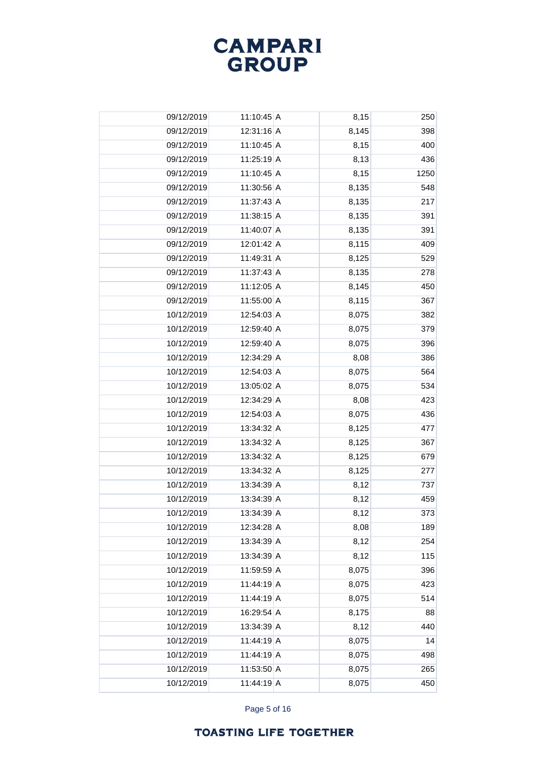

| 09/12/2019 | 11:10:45 A | 8,15  | 250  |
|------------|------------|-------|------|
| 09/12/2019 | 12:31:16 A | 8,145 | 398  |
| 09/12/2019 | 11:10:45 A | 8,15  | 400  |
| 09/12/2019 | 11:25:19 A | 8,13  | 436  |
| 09/12/2019 | 11:10:45 A | 8,15  | 1250 |
| 09/12/2019 | 11:30:56 A | 8,135 | 548  |
| 09/12/2019 | 11:37:43 A | 8,135 | 217  |
| 09/12/2019 | 11:38:15 A | 8,135 | 391  |
| 09/12/2019 | 11:40:07 A | 8,135 | 391  |
| 09/12/2019 | 12:01:42 A | 8,115 | 409  |
| 09/12/2019 | 11:49:31 A | 8,125 | 529  |
| 09/12/2019 | 11:37:43 A | 8,135 | 278  |
| 09/12/2019 | 11:12:05 A | 8,145 | 450  |
| 09/12/2019 | 11:55:00 A | 8,115 | 367  |
| 10/12/2019 | 12:54:03 A | 8,075 | 382  |
| 10/12/2019 | 12:59:40 A | 8,075 | 379  |
| 10/12/2019 | 12:59:40 A | 8,075 | 396  |
| 10/12/2019 | 12:34:29 A | 8,08  | 386  |
| 10/12/2019 | 12:54:03 A | 8,075 | 564  |
| 10/12/2019 | 13:05:02 A | 8,075 | 534  |
| 10/12/2019 | 12:34:29 A | 8,08  | 423  |
| 10/12/2019 | 12:54:03 A | 8,075 | 436  |
| 10/12/2019 | 13:34:32 A | 8,125 | 477  |
| 10/12/2019 | 13:34:32 A | 8,125 | 367  |
| 10/12/2019 | 13:34:32 A | 8,125 | 679  |
| 10/12/2019 | 13:34:32 A | 8,125 | 277  |
| 10/12/2019 | 13:34:39 A | 8,12  | 737  |
| 10/12/2019 | 13:34:39 A | 8,12  | 459  |
| 10/12/2019 | 13:34:39 A | 8,12  | 373  |
| 10/12/2019 | 12:34:28 A | 8,08  | 189  |
| 10/12/2019 | 13:34:39 A | 8,12  | 254  |
| 10/12/2019 | 13:34:39 A | 8,12  | 115  |
| 10/12/2019 | 11:59:59 A | 8,075 | 396  |
| 10/12/2019 | 11:44:19 A | 8,075 | 423  |
| 10/12/2019 | 11:44:19 A | 8,075 | 514  |
| 10/12/2019 | 16:29:54 A | 8,175 | 88   |
| 10/12/2019 | 13:34:39 A | 8,12  | 440  |
| 10/12/2019 | 11:44:19 A | 8,075 | 14   |
| 10/12/2019 | 11:44:19 A | 8,075 | 498  |
| 10/12/2019 | 11:53:50 A | 8,075 | 265  |
| 10/12/2019 | 11:44:19 A | 8,075 | 450  |

Page 5 of 16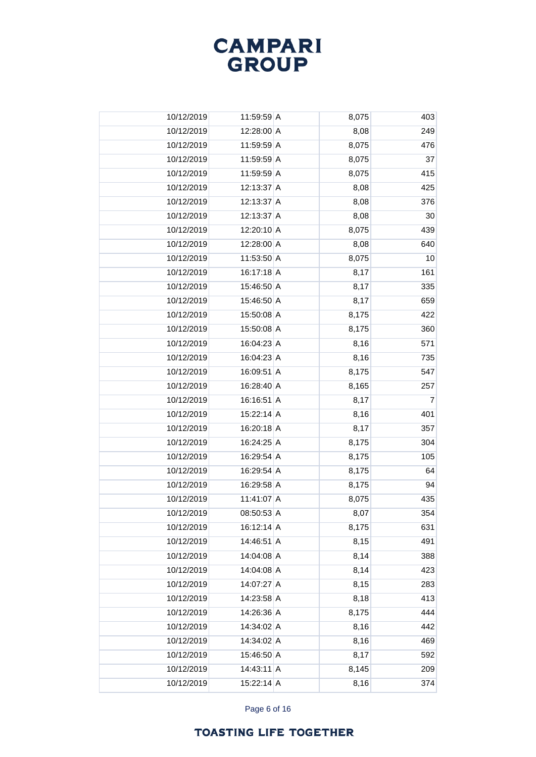

| 10/12/2019 | 11:59:59 A   | 8,075 | 403            |
|------------|--------------|-------|----------------|
| 10/12/2019 | 12:28:00 A   | 8,08  | 249            |
| 10/12/2019 | 11:59:59 A   | 8,075 | 476            |
| 10/12/2019 | 11:59:59 A   | 8,075 | 37             |
| 10/12/2019 | 11:59:59 A   | 8,075 | 415            |
| 10/12/2019 | 12:13:37 A   | 8,08  | 425            |
| 10/12/2019 | 12:13:37 A   | 8,08  | 376            |
| 10/12/2019 | 12:13:37 A   | 8,08  | 30             |
| 10/12/2019 | 12:20:10 A   | 8,075 | 439            |
| 10/12/2019 | 12:28:00 A   | 8,08  | 640            |
| 10/12/2019 | 11:53:50 A   | 8,075 | 10             |
| 10/12/2019 | 16:17:18 A   | 8,17  | 161            |
| 10/12/2019 | 15:46:50 A   | 8,17  | 335            |
| 10/12/2019 | 15:46:50 A   | 8,17  | 659            |
| 10/12/2019 | 15:50:08 A   | 8,175 | 422            |
| 10/12/2019 | 15:50:08 A   | 8,175 | 360            |
| 10/12/2019 | 16:04:23 A   | 8,16  | 571            |
| 10/12/2019 | 16:04:23 A   | 8,16  | 735            |
| 10/12/2019 | 16:09:51 A   | 8,175 | 547            |
| 10/12/2019 | 16:28:40 A   | 8,165 | 257            |
| 10/12/2019 | 16:16:51 A   | 8,17  | $\overline{7}$ |
| 10/12/2019 | 15:22:14 A   | 8,16  | 401            |
| 10/12/2019 | 16:20:18 A   | 8,17  | 357            |
| 10/12/2019 | 16:24:25 A   | 8,175 | 304            |
| 10/12/2019 | 16:29:54 A   | 8,175 | 105            |
| 10/12/2019 | 16:29:54 A   | 8,175 | 64             |
| 10/12/2019 | 16:29:58 A   | 8,175 | 94             |
| 10/12/2019 | 11:41:07 A   | 8,075 | 435            |
| 10/12/2019 | $08:50:53$ A | 8,07  | 354            |
| 10/12/2019 | 16:12:14 A   | 8,175 | 631            |
| 10/12/2019 | 14:46:51 A   | 8,15  | 491            |
| 10/12/2019 | 14:04:08 A   | 8,14  | 388            |
| 10/12/2019 | 14:04:08 A   | 8,14  | 423            |
| 10/12/2019 | 14:07:27 A   | 8,15  | 283            |
| 10/12/2019 | 14:23:58 A   | 8,18  | 413            |
| 10/12/2019 | 14:26:36 A   | 8,175 | 444            |
| 10/12/2019 | 14:34:02 A   | 8,16  | 442            |
| 10/12/2019 | 14:34:02 A   | 8,16  | 469            |
| 10/12/2019 | 15:46:50 A   | 8,17  | 592            |
| 10/12/2019 | 14:43:11 A   | 8,145 | 209            |
| 10/12/2019 | 15:22:14 A   | 8,16  | 374            |

Page 6 of 16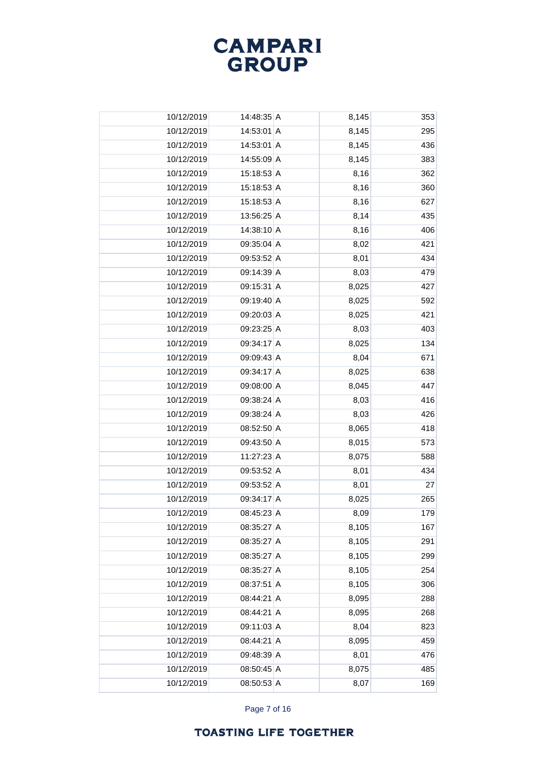

| 10/12/2019 | 14:48:35 A | 8,145 | 353 |
|------------|------------|-------|-----|
| 10/12/2019 | 14:53:01 A | 8,145 | 295 |
| 10/12/2019 | 14:53:01 A | 8,145 | 436 |
| 10/12/2019 | 14:55:09 A | 8,145 | 383 |
| 10/12/2019 | 15:18:53 A | 8,16  | 362 |
| 10/12/2019 | 15:18:53 A | 8,16  | 360 |
| 10/12/2019 | 15:18:53 A | 8,16  | 627 |
| 10/12/2019 | 13:56:25 A | 8,14  | 435 |
| 10/12/2019 | 14:38:10 A | 8,16  | 406 |
| 10/12/2019 | 09:35:04 A | 8,02  | 421 |
| 10/12/2019 | 09:53:52 A | 8,01  | 434 |
| 10/12/2019 | 09:14:39 A | 8,03  | 479 |
| 10/12/2019 | 09:15:31 A | 8,025 | 427 |
| 10/12/2019 | 09:19:40 A | 8,025 | 592 |
| 10/12/2019 | 09:20:03 A | 8,025 | 421 |
| 10/12/2019 | 09:23:25 A | 8,03  | 403 |
| 10/12/2019 | 09:34:17 A | 8,025 | 134 |
| 10/12/2019 | 09:09:43 A | 8,04  | 671 |
| 10/12/2019 | 09:34:17 A | 8,025 | 638 |
| 10/12/2019 | 09:08:00 A | 8,045 | 447 |
| 10/12/2019 | 09:38:24 A | 8,03  | 416 |
| 10/12/2019 | 09:38:24 A | 8,03  | 426 |
| 10/12/2019 | 08:52:50 A | 8,065 | 418 |
| 10/12/2019 | 09:43:50 A | 8,015 | 573 |
| 10/12/2019 | 11:27:23 A | 8,075 | 588 |
| 10/12/2019 | 09:53:52 A | 8,01  | 434 |
| 10/12/2019 | 09:53:52 A | 8,01  | 27  |
| 10/12/2019 | 09:34:17 A | 8,025 | 265 |
| 10/12/2019 | 08:45:23 A | 8,09  | 179 |
| 10/12/2019 | 08:35:27 A | 8,105 | 167 |
| 10/12/2019 | 08:35:27 A | 8,105 | 291 |
| 10/12/2019 | 08:35:27 A | 8,105 | 299 |
| 10/12/2019 | 08:35:27 A | 8,105 | 254 |
| 10/12/2019 | 08:37:51 A | 8,105 | 306 |
| 10/12/2019 | 08:44:21 A | 8,095 | 288 |
| 10/12/2019 | 08:44:21 A | 8,095 | 268 |
| 10/12/2019 | 09:11:03 A | 8,04  | 823 |
| 10/12/2019 | 08:44:21 A | 8,095 | 459 |
| 10/12/2019 | 09:48:39 A | 8,01  | 476 |
| 10/12/2019 | 08:50:45 A | 8,075 | 485 |
| 10/12/2019 | 08:50:53 A | 8,07  | 169 |

Page 7 of 16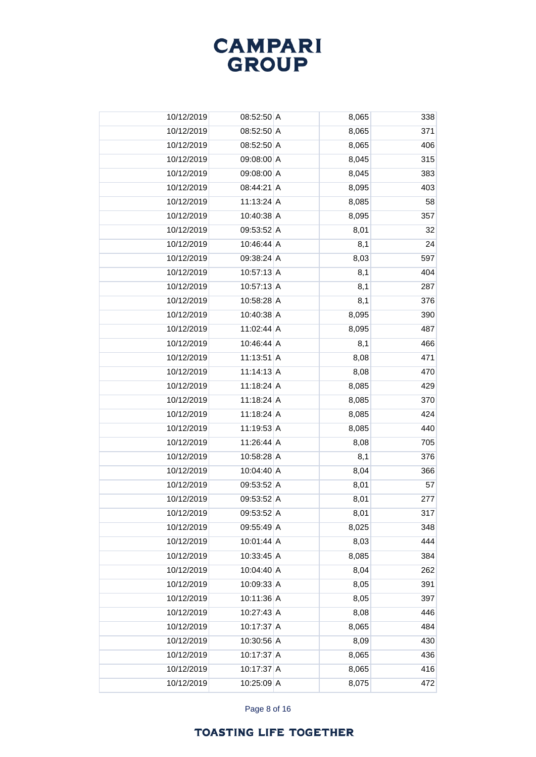

| 10/12/2019 | $08:52:50$ A | 8,065 | 338 |
|------------|--------------|-------|-----|
| 10/12/2019 | 08:52:50 A   | 8,065 | 371 |
| 10/12/2019 | 08:52:50 A   | 8,065 | 406 |
| 10/12/2019 | 09:08:00 A   | 8,045 | 315 |
| 10/12/2019 | 09:08:00 A   | 8,045 | 383 |
| 10/12/2019 | 08:44:21 A   | 8,095 | 403 |
| 10/12/2019 | 11:13:24 A   | 8,085 | 58  |
| 10/12/2019 | 10:40:38 A   | 8,095 | 357 |
| 10/12/2019 | 09:53:52 A   | 8,01  | 32  |
| 10/12/2019 | 10:46:44 A   | 8,1   | 24  |
| 10/12/2019 | 09:38:24 A   | 8,03  | 597 |
| 10/12/2019 | $10:57:13$ A | 8,1   | 404 |
| 10/12/2019 | 10:57:13 A   | 8,1   | 287 |
| 10/12/2019 | 10:58:28 A   | 8,1   | 376 |
| 10/12/2019 | 10:40:38 A   | 8,095 | 390 |
| 10/12/2019 | 11:02:44 A   | 8,095 | 487 |
| 10/12/2019 | 10:46:44 A   | 8,1   | 466 |
| 10/12/2019 | $11:13:51$ A | 8,08  | 471 |
| 10/12/2019 | $11:14:13$ A | 8,08  | 470 |
| 10/12/2019 | 11:18:24 A   | 8,085 | 429 |
| 10/12/2019 | 11:18:24 A   | 8,085 | 370 |
| 10/12/2019 | 11:18:24 A   | 8,085 | 424 |
| 10/12/2019 | 11:19:53 A   | 8,085 | 440 |
| 10/12/2019 | 11:26:44 A   | 8,08  | 705 |
| 10/12/2019 | 10:58:28 A   | 8,1   | 376 |
| 10/12/2019 | 10:04:40 A   | 8,04  | 366 |
| 10/12/2019 | 09:53:52 A   | 8,01  | 57  |
| 10/12/2019 | 09:53:52 A   | 8,01  | 277 |
| 10/12/2019 | 09:53:52 A   | 8,01  | 317 |
| 10/12/2019 | 09:55:49 A   | 8,025 | 348 |
| 10/12/2019 | 10:01:44 A   | 8,03  | 444 |
| 10/12/2019 | 10:33:45 A   | 8,085 | 384 |
| 10/12/2019 | 10:04:40 A   | 8,04  | 262 |
| 10/12/2019 | 10:09:33 A   | 8,05  | 391 |
| 10/12/2019 | 10:11:36 A   | 8,05  | 397 |
| 10/12/2019 | 10:27:43 A   | 8,08  | 446 |
| 10/12/2019 | 10:17:37 A   | 8,065 | 484 |
| 10/12/2019 | 10:30:56 A   | 8,09  | 430 |
| 10/12/2019 | 10:17:37 A   | 8,065 | 436 |
| 10/12/2019 | 10:17:37 A   | 8,065 | 416 |
| 10/12/2019 | 10:25:09 A   | 8,075 | 472 |

Page 8 of 16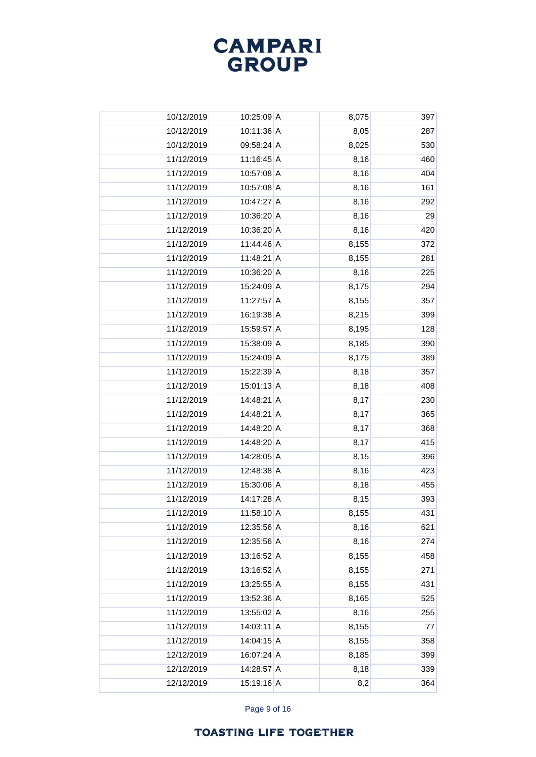# **CAMPARI**<br>GROUP

| 10/12/2019 | 10:25:09 A   | 8,075 | 397 |
|------------|--------------|-------|-----|
| 10/12/2019 | 10:11:36 A   | 8,05  | 287 |
| 10/12/2019 | 09:58:24 A   | 8,025 | 530 |
| 11/12/2019 | $11:16:45$ A | 8,16  | 460 |
| 11/12/2019 | 10:57:08 A   | 8,16  | 404 |
| 11/12/2019 | 10:57:08 A   | 8,16  | 161 |
| 11/12/2019 | 10:47:27 A   | 8,16  | 292 |
| 11/12/2019 | 10:36:20 A   | 8,16  | 29  |
| 11/12/2019 | 10:36:20 A   | 8,16  | 420 |
| 11/12/2019 | 11:44:46 A   | 8,155 | 372 |
| 11/12/2019 | 11:48:21 A   | 8,155 | 281 |
| 11/12/2019 | 10:36:20 A   | 8,16  | 225 |
| 11/12/2019 | 15:24:09 A   | 8,175 | 294 |
| 11/12/2019 | 11:27:57 A   | 8,155 | 357 |
| 11/12/2019 | 16:19:38 A   | 8,215 | 399 |
| 11/12/2019 | 15:59:57 A   | 8,195 | 128 |
| 11/12/2019 | 15:38:09 A   | 8,185 | 390 |
| 11/12/2019 | 15:24:09 A   | 8,175 | 389 |
| 11/12/2019 | 15:22:39 A   | 8,18  | 357 |
| 11/12/2019 | $15:01:13$ A | 8,18  | 408 |
| 11/12/2019 | 14:48:21 A   | 8,17  | 230 |
| 11/12/2019 | 14:48:21 A   | 8,17  | 365 |
| 11/12/2019 | 14:48:20 A   | 8,17  | 368 |
| 11/12/2019 | 14:48:20 A   | 8,17  | 415 |
| 11/12/2019 | 14:28:05 A   | 8,15  | 396 |
| 11/12/2019 | 12:48:38 A   | 8,16  | 423 |
| 11/12/2019 | 15:30:06 A   | 8,18  | 455 |
| 11/12/2019 | 14:17:28 A   | 8,15  | 393 |
| 11/12/2019 | 11:58:10 A   | 8,155 | 431 |
| 11/12/2019 | 12:35:56 A   | 8,16  | 621 |
| 11/12/2019 | 12:35:56 A   | 8,16  | 274 |
| 11/12/2019 | 13:16:52 A   | 8,155 | 458 |
| 11/12/2019 | 13:16:52 A   | 8,155 | 271 |
| 11/12/2019 | 13:25:55 A   | 8,155 | 431 |
| 11/12/2019 | 13:52:36 A   | 8,165 | 525 |
| 11/12/2019 | 13:55:02 A   | 8,16  | 255 |
| 11/12/2019 | $14:03:11$ A | 8,155 | 77  |
| 11/12/2019 | 14:04:15 A   | 8,155 | 358 |
| 12/12/2019 | 16:07:24 A   | 8,185 | 399 |
| 12/12/2019 | 14:28:57 A   | 8,18  | 339 |
| 12/12/2019 | 15:19:16 A   | 8,2   | 364 |

Page 9 of 16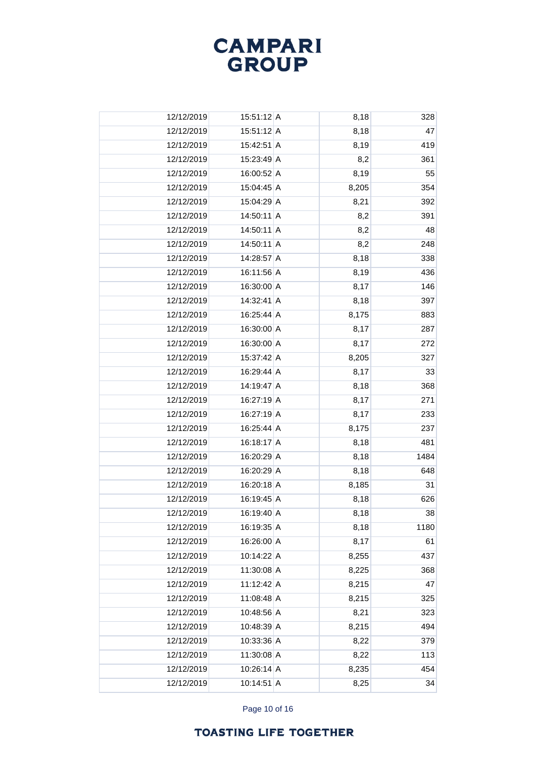

| 12/12/2019 | $15:51:12 \,   A$ | 8,18  | 328  |
|------------|-------------------|-------|------|
| 12/12/2019 | 15:51:12 A        | 8,18  | 47   |
| 12/12/2019 | 15:42:51 A        | 8,19  | 419  |
| 12/12/2019 | 15:23:49 A        | 8,2   | 361  |
| 12/12/2019 | 16:00:52 A        | 8,19  | 55   |
| 12/12/2019 | 15:04:45 A        | 8,205 | 354  |
| 12/12/2019 | 15:04:29 A        | 8,21  | 392  |
| 12/12/2019 | 14:50:11 A        | 8,2   | 391  |
| 12/12/2019 | 14:50:11 A        | 8,2   | 48   |
| 12/12/2019 | 14:50:11 A        | 8,2   | 248  |
| 12/12/2019 | 14:28:57 A        | 8,18  | 338  |
| 12/12/2019 | 16:11:56 A        | 8,19  | 436  |
| 12/12/2019 | 16:30:00 A        | 8,17  | 146  |
| 12/12/2019 | 14:32:41 A        | 8,18  | 397  |
| 12/12/2019 | 16:25:44 A        | 8,175 | 883  |
| 12/12/2019 | 16:30:00 A        | 8,17  | 287  |
| 12/12/2019 | 16:30:00 A        | 8,17  | 272  |
| 12/12/2019 | 15:37:42 A        | 8,205 | 327  |
| 12/12/2019 | 16:29:44 A        | 8,17  | 33   |
| 12/12/2019 | 14:19:47 A        | 8,18  | 368  |
| 12/12/2019 | 16:27:19 A        | 8,17  | 271  |
| 12/12/2019 | 16:27:19 A        | 8,17  | 233  |
| 12/12/2019 | 16:25:44 A        | 8,175 | 237  |
| 12/12/2019 | 16:18:17 A        | 8,18  | 481  |
| 12/12/2019 | 16:20:29 A        | 8,18  | 1484 |
| 12/12/2019 | 16:20:29 A        | 8,18  | 648  |
| 12/12/2019 | 16:20:18 A        | 8,185 | 31   |
| 12/12/2019 | 16:19:45 A        | 8,18  | 626  |
| 12/12/2019 | 16:19:40 A        | 8,18  | 38   |
| 12/12/2019 | 16:19:35 A        | 8,18  | 1180 |
| 12/12/2019 | 16:26:00 A        | 8,17  | 61   |
| 12/12/2019 | 10:14:22 A        | 8,255 | 437  |
| 12/12/2019 | 11:30:08 A        | 8,225 | 368  |
| 12/12/2019 | 11:12:42 A        | 8,215 | 47   |
| 12/12/2019 | 11:08:48 A        | 8,215 | 325  |
| 12/12/2019 | 10:48:56 A        | 8,21  | 323  |
| 12/12/2019 | 10:48:39 A        | 8,215 | 494  |
| 12/12/2019 | 10:33:36 A        | 8,22  | 379  |
| 12/12/2019 | 11:30:08 A        | 8,22  | 113  |
| 12/12/2019 | $10:26:14$ A      | 8,235 | 454  |
| 12/12/2019 | 10:14:51 A        | 8,25  | 34   |

Page 10 of 16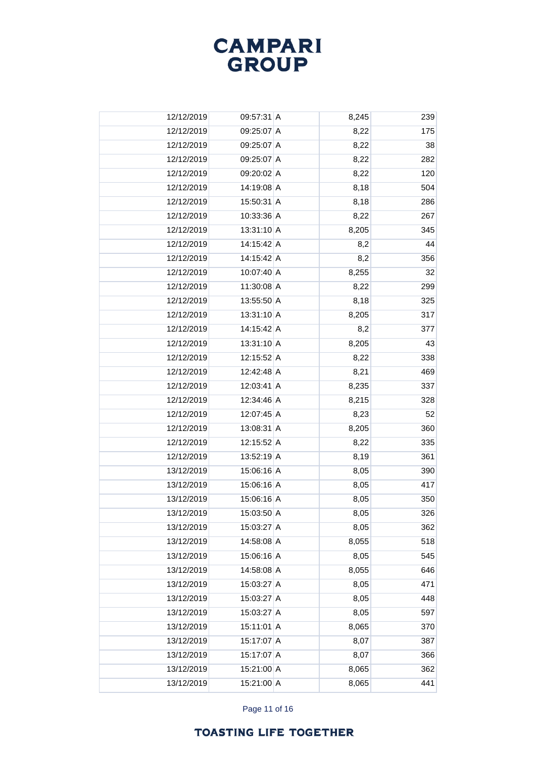

| 12/12/2019 | 09:57:31 A   | 8,245 | 239 |
|------------|--------------|-------|-----|
| 12/12/2019 | 09:25:07 A   | 8,22  | 175 |
| 12/12/2019 | 09:25:07 A   | 8,22  | 38  |
| 12/12/2019 | 09:25:07 A   | 8,22  | 282 |
| 12/12/2019 | 09:20:02 A   | 8,22  | 120 |
| 12/12/2019 | 14:19:08 A   | 8,18  | 504 |
| 12/12/2019 | 15:50:31 A   | 8,18  | 286 |
| 12/12/2019 | 10:33:36 A   | 8,22  | 267 |
| 12/12/2019 | 13:31:10 A   | 8,205 | 345 |
| 12/12/2019 | 14:15:42 A   | 8,2   | 44  |
| 12/12/2019 | 14:15:42 A   | 8,2   | 356 |
| 12/12/2019 | 10:07:40 A   | 8,255 | 32  |
| 12/12/2019 | 11:30:08 A   | 8,22  | 299 |
| 12/12/2019 | 13:55:50 A   | 8,18  | 325 |
| 12/12/2019 | 13:31:10 A   | 8,205 | 317 |
| 12/12/2019 | 14:15:42 A   | 8,2   | 377 |
| 12/12/2019 | $13:31:10$ A | 8,205 | 43  |
| 12/12/2019 | 12:15:52 A   | 8,22  | 338 |
| 12/12/2019 | 12:42:48 A   | 8,21  | 469 |
| 12/12/2019 | 12:03:41 A   | 8,235 | 337 |
| 12/12/2019 | 12:34:46 A   | 8,215 | 328 |
| 12/12/2019 | 12:07:45 A   | 8,23  | 52  |
| 12/12/2019 | $13:08:31$ A | 8,205 | 360 |
| 12/12/2019 | 12:15:52 A   | 8,22  | 335 |
| 12/12/2019 | 13:52:19 A   | 8,19  | 361 |
| 13/12/2019 | 15:06:16 A   | 8,05  | 390 |
| 13/12/2019 | 15:06:16 A   | 8,05  | 417 |
| 13/12/2019 | 15:06:16 A   | 8,05  | 350 |
| 13/12/2019 | 15:03:50 A   | 8,05  | 326 |
| 13/12/2019 | 15:03:27 A   | 8,05  | 362 |
| 13/12/2019 | 14:58:08 A   | 8,055 | 518 |
| 13/12/2019 | 15:06:16 A   | 8,05  | 545 |
| 13/12/2019 | 14:58:08 A   | 8,055 | 646 |
| 13/12/2019 | 15:03:27 A   | 8,05  | 471 |
| 13/12/2019 | 15:03:27 A   | 8,05  | 448 |
| 13/12/2019 | 15:03:27 A   | 8,05  | 597 |
| 13/12/2019 | 15:11:01 A   | 8,065 | 370 |
| 13/12/2019 | 15:17:07 A   | 8,07  | 387 |
| 13/12/2019 | 15:17:07 A   | 8,07  | 366 |
| 13/12/2019 | 15:21:00 A   | 8,065 | 362 |
| 13/12/2019 | 15:21:00 A   | 8,065 | 441 |

Page 11 of 16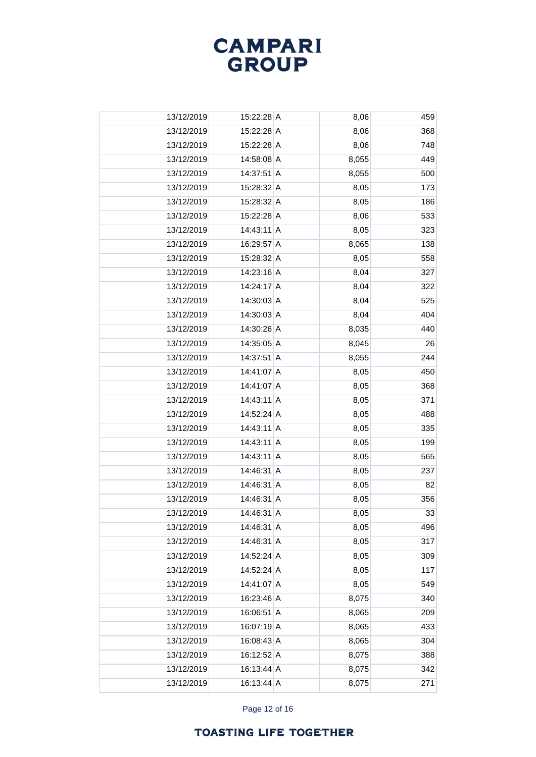# **CAMPARI**<br>GROUP

| 13/12/2019 | 15:22:28 A | 8,06  | 459 |
|------------|------------|-------|-----|
| 13/12/2019 | 15:22:28 A | 8,06  | 368 |
| 13/12/2019 | 15:22:28 A | 8,06  | 748 |
| 13/12/2019 | 14:58:08 A | 8,055 | 449 |
| 13/12/2019 | 14:37:51 A | 8,055 | 500 |
| 13/12/2019 | 15:28:32 A | 8,05  | 173 |
| 13/12/2019 | 15:28:32 A | 8,05  | 186 |
| 13/12/2019 | 15:22:28 A | 8,06  | 533 |
| 13/12/2019 | 14:43:11 A | 8,05  | 323 |
| 13/12/2019 | 16:29:57 A | 8,065 | 138 |
| 13/12/2019 | 15:28:32 A | 8,05  | 558 |
| 13/12/2019 | 14:23:16 A | 8,04  | 327 |
| 13/12/2019 | 14:24:17 A | 8,04  | 322 |
| 13/12/2019 | 14:30:03 A | 8,04  | 525 |
| 13/12/2019 | 14:30:03 A | 8,04  | 404 |
| 13/12/2019 | 14:30:26 A | 8,035 | 440 |
| 13/12/2019 | 14:35:05 A | 8,045 | 26  |
| 13/12/2019 | 14:37:51 A | 8,055 | 244 |
| 13/12/2019 | 14:41:07 A | 8,05  | 450 |
| 13/12/2019 | 14:41:07 A | 8,05  | 368 |
| 13/12/2019 | 14:43:11 A | 8,05  | 371 |
| 13/12/2019 | 14:52:24 A | 8,05  | 488 |
| 13/12/2019 | 14:43:11 A | 8,05  | 335 |
| 13/12/2019 | 14:43:11 A | 8,05  | 199 |
| 13/12/2019 | 14:43:11 A | 8,05  | 565 |
| 13/12/2019 | 14:46:31 A | 8,05  | 237 |
| 13/12/2019 | 14:46:31 A | 8,05  | 82  |
| 13/12/2019 | 14:46:31 A | 8,05  | 356 |
| 13/12/2019 | 14:46:31 A | 8,05  | 33  |
| 13/12/2019 | 14:46:31 A | 8,05  | 496 |
| 13/12/2019 | 14:46:31 A | 8,05  | 317 |
| 13/12/2019 | 14:52:24 A | 8,05  | 309 |
| 13/12/2019 | 14:52:24 A | 8,05  | 117 |
| 13/12/2019 | 14:41:07 A | 8,05  | 549 |
| 13/12/2019 | 16:23:46 A | 8,075 | 340 |
| 13/12/2019 | 16:06:51 A | 8,065 | 209 |
| 13/12/2019 | 16:07:19 A | 8,065 | 433 |
| 13/12/2019 | 16:08:43 A | 8,065 | 304 |
| 13/12/2019 | 16:12:52 A | 8,075 | 388 |
| 13/12/2019 | 16:13:44 A | 8,075 | 342 |
| 13/12/2019 | 16:13:44 A | 8,075 | 271 |

Page 12 of 16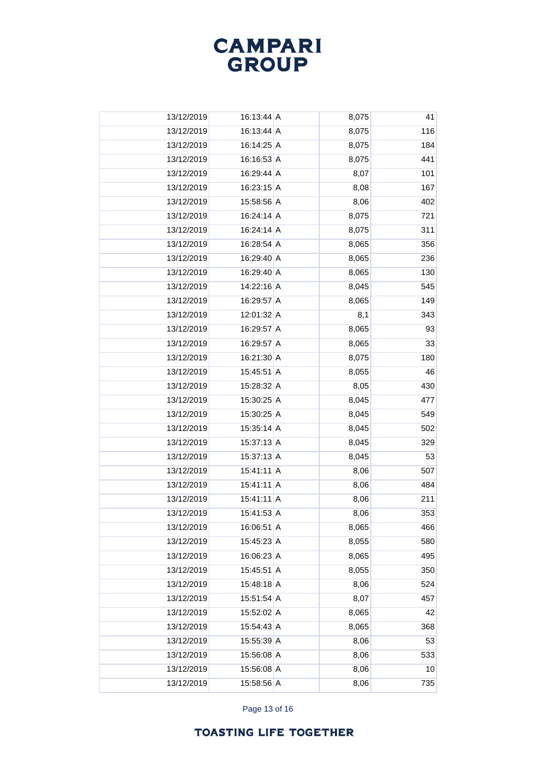

| 13/12/2019 | 16:13:44 A | 8,075 | 41              |
|------------|------------|-------|-----------------|
| 13/12/2019 | 16:13:44 A | 8,075 | 116             |
| 13/12/2019 | 16:14:25 A | 8,075 | 184             |
| 13/12/2019 | 16:16:53 A | 8,075 | 441             |
| 13/12/2019 | 16:29:44 A | 8,07  | 101             |
| 13/12/2019 | 16:23:15 A | 8,08  | 167             |
| 13/12/2019 | 15:58:56 A | 8,06  | 402             |
| 13/12/2019 | 16:24:14 A | 8,075 | 721             |
| 13/12/2019 | 16:24:14 A | 8,075 | 311             |
| 13/12/2019 | 16:28:54 A | 8,065 | 356             |
| 13/12/2019 | 16:29:40 A | 8,065 | 236             |
| 13/12/2019 | 16:29:40 A | 8,065 | 130             |
| 13/12/2019 | 14:22:16 A | 8,045 | 545             |
| 13/12/2019 | 16:29:57 A | 8,065 | 149             |
| 13/12/2019 | 12:01:32 A | 8,1   | 343             |
| 13/12/2019 | 16:29:57 A | 8,065 | 93              |
| 13/12/2019 | 16:29:57 A | 8,065 | 33              |
| 13/12/2019 | 16:21:30 A | 8,075 | 180             |
| 13/12/2019 | 15:45:51 A | 8,055 | 46              |
| 13/12/2019 | 15:28:32 A | 8,05  | 430             |
| 13/12/2019 | 15:30:25 A | 8,045 | 477             |
| 13/12/2019 | 15:30:25 A | 8,045 | 549             |
| 13/12/2019 | 15:35:14 A | 8,045 | 502             |
| 13/12/2019 | 15:37:13 A | 8,045 | 329             |
| 13/12/2019 | 15:37:13 A | 8,045 | 53              |
| 13/12/2019 | 15:41:11 A | 8,06  | 507             |
| 13/12/2019 | 15:41:11 A | 8,06  | 484             |
| 13/12/2019 | 15:41:11 A | 8,06  | 211             |
| 13/12/2019 | 15:41:53 A | 8,06  | 353             |
| 13/12/2019 | 16:06:51 A | 8,065 | 466             |
| 13/12/2019 | 15:45:23 A | 8,055 | 580             |
| 13/12/2019 | 16:06:23 A | 8,065 | 495             |
| 13/12/2019 | 15:45:51 A | 8,055 | 350             |
| 13/12/2019 | 15:48:18 A | 8,06  | 524             |
| 13/12/2019 | 15:51:54 A | 8,07  | 457             |
| 13/12/2019 | 15:52:02 A | 8,065 | 42              |
| 13/12/2019 | 15:54:43 A | 8,065 | 368             |
| 13/12/2019 | 15:55:39 A | 8,06  | 53              |
| 13/12/2019 | 15:56:08 A | 8,06  | 533             |
| 13/12/2019 | 15:56:08 A | 8,06  | 10 <sup>1</sup> |
| 13/12/2019 | 15:58:56 A | 8,06  | 735             |

Page 13 of 16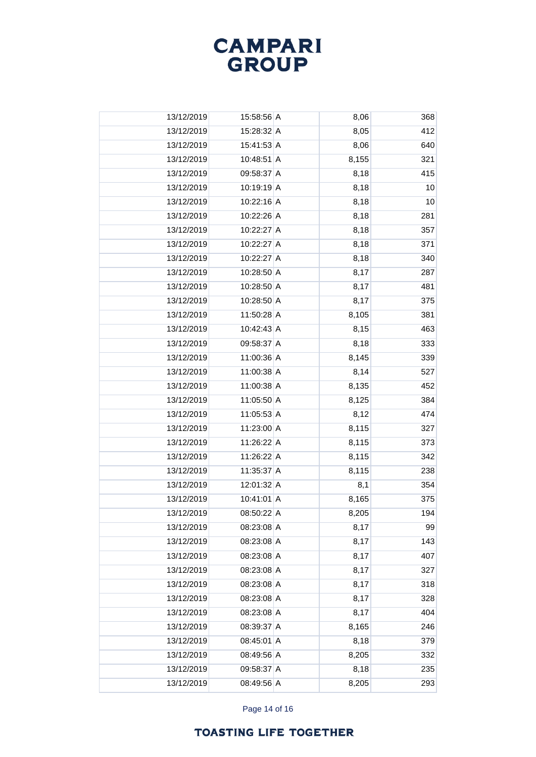# **CAMPARI**<br>GROUP

| 13/12/2019 | 15:58:56 A   | 8,06  | 368             |
|------------|--------------|-------|-----------------|
| 13/12/2019 | 15:28:32 A   | 8,05  | 412             |
| 13/12/2019 | 15:41:53 A   | 8,06  | 640             |
| 13/12/2019 | 10:48:51 A   | 8,155 | 321             |
| 13/12/2019 | 09:58:37 A   | 8,18  | 415             |
| 13/12/2019 | 10:19:19 A   | 8,18  | 10              |
| 13/12/2019 | 10:22:16 A   | 8,18  | 10 <sup>1</sup> |
| 13/12/2019 | 10:22:26 A   | 8,18  | 281             |
| 13/12/2019 | 10:22:27 A   | 8,18  | 357             |
| 13/12/2019 | 10:22:27 A   | 8,18  | 371             |
| 13/12/2019 | 10:22:27 A   | 8,18  | 340             |
| 13/12/2019 | 10:28:50 A   | 8,17  | 287             |
| 13/12/2019 | 10:28:50 A   | 8,17  | 481             |
| 13/12/2019 | 10:28:50 A   | 8,17  | 375             |
| 13/12/2019 | 11:50:28 A   | 8,105 | 381             |
| 13/12/2019 | 10:42:43 A   | 8,15  | 463             |
| 13/12/2019 | 09:58:37 A   | 8,18  | 333             |
| 13/12/2019 | 11:00:36 A   | 8,145 | 339             |
| 13/12/2019 | 11:00:38 A   | 8,14  | 527             |
| 13/12/2019 | 11:00:38 A   | 8,135 | 452             |
| 13/12/2019 | 11:05:50 A   | 8,125 | 384             |
| 13/12/2019 | 11:05:53 A   | 8,12  | 474             |
| 13/12/2019 | 11:23:00 A   | 8,115 | 327             |
| 13/12/2019 | 11:26:22 A   | 8,115 | 373             |
| 13/12/2019 | 11:26:22 A   | 8,115 | 342             |
| 13/12/2019 | 11:35:37 A   | 8,115 | 238             |
| 13/12/2019 | $12:01:32$ A | 8,1   | 354             |
| 13/12/2019 | 10:41:01 A   | 8,165 | 375             |
| 13/12/2019 | 08:50:22 A   | 8,205 | 194             |
| 13/12/2019 | $08:23:08$ A | 8,17  | 99              |
| 13/12/2019 | 08:23:08 A   | 8,17  | 143             |
| 13/12/2019 | 08:23:08 A   | 8,17  | 407             |
| 13/12/2019 | 08:23:08 A   | 8,17  | 327             |
| 13/12/2019 | 08:23:08 A   | 8,17  | 318             |
| 13/12/2019 | 08:23:08 A   | 8,17  | 328             |
| 13/12/2019 | 08:23:08 A   | 8,17  | 404             |
| 13/12/2019 | 08:39:37 A   | 8,165 | 246             |
| 13/12/2019 | $08:45:01$ A | 8,18  | 379             |
| 13/12/2019 | 08:49:56 A   | 8,205 | 332             |
| 13/12/2019 | 09:58:37 A   | 8,18  | 235             |
| 13/12/2019 | 08:49:56 A   | 8,205 | 293             |
|            |              |       |                 |

Page 14 of 16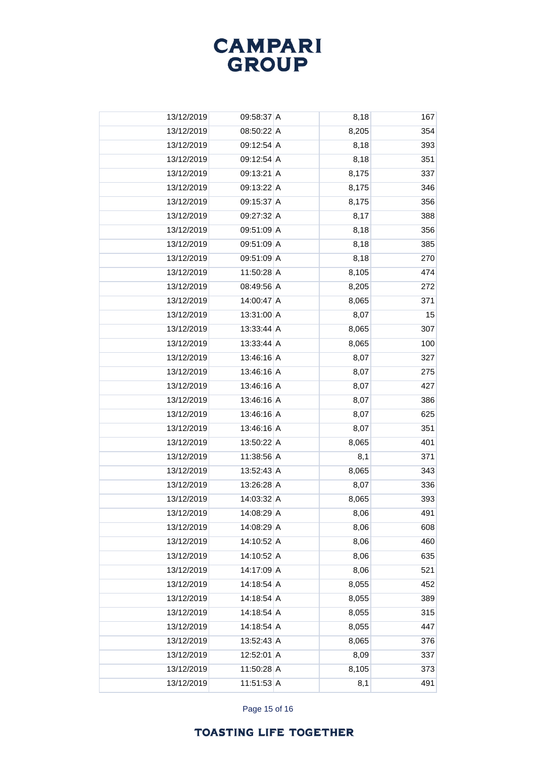

| 13/12/2019 | 09:58:37 A   | 8,18  | 167 |
|------------|--------------|-------|-----|
| 13/12/2019 | 08:50:22 A   | 8,205 | 354 |
| 13/12/2019 | 09:12:54 A   | 8,18  | 393 |
| 13/12/2019 | 09:12:54 A   | 8,18  | 351 |
| 13/12/2019 | 09:13:21 A   | 8,175 | 337 |
| 13/12/2019 | 09:13:22 A   | 8,175 | 346 |
| 13/12/2019 | 09:15:37 A   | 8,175 | 356 |
| 13/12/2019 | 09:27:32 A   | 8,17  | 388 |
| 13/12/2019 | 09:51:09 A   | 8,18  | 356 |
| 13/12/2019 | 09:51:09 A   | 8,18  | 385 |
| 13/12/2019 | 09:51:09 A   | 8,18  | 270 |
| 13/12/2019 | 11:50:28 A   | 8,105 | 474 |
| 13/12/2019 | 08:49:56 A   | 8,205 | 272 |
| 13/12/2019 | 14:00:47 A   | 8,065 | 371 |
| 13/12/2019 | 13:31:00 A   | 8,07  | 15  |
| 13/12/2019 | 13:33:44 A   | 8,065 | 307 |
| 13/12/2019 | 13:33:44 A   | 8,065 | 100 |
| 13/12/2019 | 13:46:16 A   | 8,07  | 327 |
| 13/12/2019 | 13:46:16 A   | 8,07  | 275 |
| 13/12/2019 | 13:46:16 A   | 8,07  | 427 |
| 13/12/2019 | 13:46:16 A   | 8,07  | 386 |
| 13/12/2019 | 13:46:16 A   | 8,07  | 625 |
| 13/12/2019 | 13:46:16 A   | 8,07  | 351 |
| 13/12/2019 | 13:50:22 A   | 8,065 | 401 |
| 13/12/2019 | 11:38:56 A   | 8,1   | 371 |
| 13/12/2019 | 13:52:43 A   | 8,065 | 343 |
| 13/12/2019 | 13:26:28 A   | 8,07  | 336 |
| 13/12/2019 | 14:03:32 A   | 8,065 | 393 |
| 13/12/2019 | 14:08:29 A   | 8,06  | 491 |
| 13/12/2019 | 14:08:29 A   | 8,06  | 608 |
| 13/12/2019 | 14:10:52 A   | 8,06  | 460 |
| 13/12/2019 | 14:10:52 A   | 8,06  | 635 |
| 13/12/2019 | 14:17:09 A   | 8,06  | 521 |
| 13/12/2019 | 14:18:54 A   | 8,055 | 452 |
| 13/12/2019 | 14:18:54 A   | 8,055 | 389 |
| 13/12/2019 | 14:18:54 A   | 8,055 | 315 |
| 13/12/2019 | 14:18:54 A   | 8,055 | 447 |
| 13/12/2019 | 13:52:43 A   | 8,065 | 376 |
| 13/12/2019 | 12:52:01 A   | 8,09  | 337 |
| 13/12/2019 | 11:50:28 A   | 8,105 | 373 |
| 13/12/2019 | $11:51:53$ A | 8,1   | 491 |

Page 15 of 16